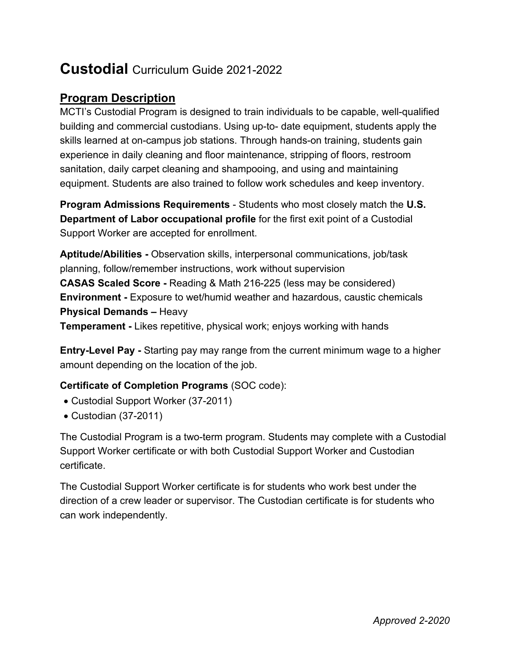# **Custodial** Curriculum Guide 2021-2022

## **Program Description**

MCTI's Custodial Program is designed to train individuals to be capable, well-qualified building and commercial custodians. Using up-to- date equipment, students apply the skills learned at on-campus job stations. Through hands-on training, students gain experience in daily cleaning and floor maintenance, stripping of floors, restroom sanitation, daily carpet cleaning and shampooing, and using and maintaining equipment. Students are also trained to follow work schedules and keep inventory.

**Program Admissions Requirements** - Students who most closely match the **U.S. Department of Labor occupational profile** for the first exit point of a Custodial Support Worker are accepted for enrollment.

**Aptitude/Abilities -** Observation skills, interpersonal communications, job/task planning, follow/remember instructions, work without supervision **CASAS Scaled Score -** Reading & Math 216-225 (less may be considered) **Environment -** Exposure to wet/humid weather and hazardous, caustic chemicals **Physical Demands –** Heavy **Temperament -** Likes repetitive, physical work; enjoys working with hands

**Entry-Level Pay -** Starting pay may range from the current minimum wage to a higher amount depending on the location of the job.

#### **Certificate of Completion Programs** (SOC code):

- Custodial Support Worker (37-2011)
- Custodian (37-2011)

The Custodial Program is a two-term program. Students may complete with a Custodial Support Worker certificate or with both Custodial Support Worker and Custodian certificate.

The Custodial Support Worker certificate is for students who work best under the direction of a crew leader or supervisor. The Custodian certificate is for students who can work independently.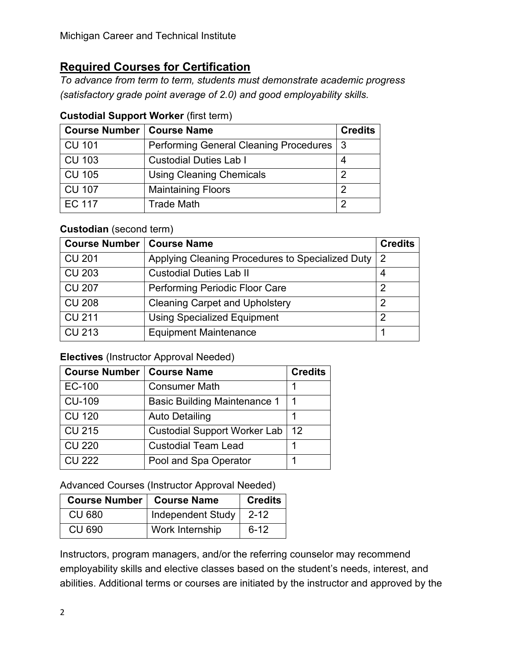# **Required Courses for Certification**

*To advance from term to term, students must demonstrate academic progress (satisfactory grade point average of 2.0) and good employability skills.*

| <b>Course Number   Course Name</b> |                                            | <b>Credits</b> |
|------------------------------------|--------------------------------------------|----------------|
| <b>CU 101</b>                      | Performing General Cleaning Procedures   3 |                |
| <b>CU 103</b>                      | <b>Custodial Duties Lab I</b>              | 4              |
| <b>CU 105</b>                      | <b>Using Cleaning Chemicals</b>            | ႒              |
| <b>CU 107</b>                      | <b>Maintaining Floors</b>                  | ႒              |
| <b>EC 117</b>                      | <b>Trade Math</b>                          | ႒              |

## **Custodial Support Worker** (first term)

### **Custodian** (second term)

| Course Number   Course Name |                                                  | <b>Credits</b> |
|-----------------------------|--------------------------------------------------|----------------|
| <b>CU 201</b>               | Applying Cleaning Procedures to Specialized Duty | 2              |
| <b>CU 203</b>               | <b>Custodial Duties Lab II</b>                   |                |
| <b>CU 207</b>               | Performing Periodic Floor Care                   | າ              |
| <b>CU 208</b>               | <b>Cleaning Carpet and Upholstery</b>            | 2              |
| <b>CU 211</b>               | <b>Using Specialized Equipment</b>               | 2              |
| <b>CU 213</b>               | <b>Equipment Maintenance</b>                     |                |

### **Electives** (Instructor Approval Needed)

| <b>Course Number   Course Name</b> |                                     | <b>Credits</b> |
|------------------------------------|-------------------------------------|----------------|
| <b>EC-100</b>                      | <b>Consumer Math</b>                |                |
| <b>CU-109</b>                      | <b>Basic Building Maintenance 1</b> |                |
| <b>CU 120</b>                      | <b>Auto Detailing</b>               |                |
| <b>CU 215</b>                      | <b>Custodial Support Worker Lab</b> | 12             |
| <b>CU 220</b>                      | <b>Custodial Team Lead</b>          |                |
| CU 222                             | Pool and Spa Operator               |                |

Advanced Courses (Instructor Approval Needed)

| Course Number   Course Name |                   | <b>Credits</b> |
|-----------------------------|-------------------|----------------|
| <b>CU 680</b>               | Independent Study | $2 - 12$       |
| <b>CU 690</b>               | Work Internship   | $6 - 12$       |

Instructors, program managers, and/or the referring counselor may recommend employability skills and elective classes based on the student's needs, interest, and abilities. Additional terms or courses are initiated by the instructor and approved by the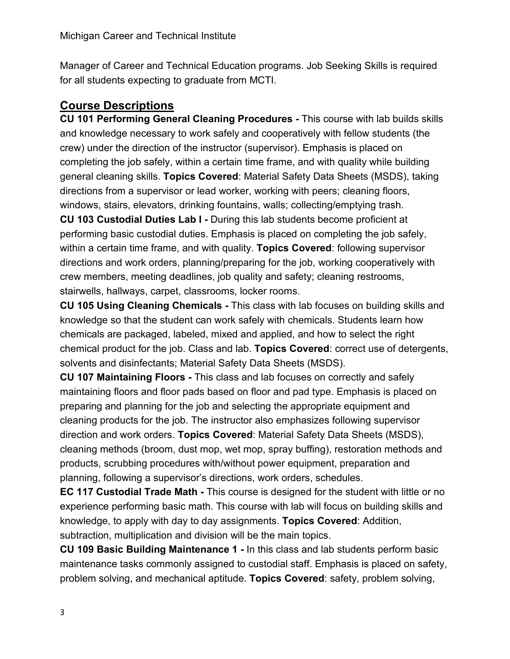Manager of Career and Technical Education programs. Job Seeking Skills is required for all students expecting to graduate from MCTI.

# **Course Descriptions**

**CU 101 Performing General Cleaning Procedures -** This course with lab builds skills and knowledge necessary to work safely and cooperatively with fellow students (the crew) under the direction of the instructor (supervisor). Emphasis is placed on completing the job safely, within a certain time frame, and with quality while building general cleaning skills. **Topics Covered**: Material Safety Data Sheets (MSDS), taking directions from a supervisor or lead worker, working with peers; cleaning floors, windows, stairs, elevators, drinking fountains, walls; collecting/emptying trash.

**CU 103 Custodial Duties Lab I -** During this lab students become proficient at performing basic custodial duties. Emphasis is placed on completing the job safely, within a certain time frame, and with quality. **Topics Covered**: following supervisor directions and work orders, planning/preparing for the job, working cooperatively with crew members, meeting deadlines, job quality and safety; cleaning restrooms, stairwells, hallways, carpet, classrooms, locker rooms.

**CU 105 Using Cleaning Chemicals -** This class with lab focuses on building skills and knowledge so that the student can work safely with chemicals. Students learn how chemicals are packaged, labeled, mixed and applied, and how to select the right chemical product for the job. Class and lab. **Topics Covered**: correct use of detergents, solvents and disinfectants; Material Safety Data Sheets (MSDS).

**CU 107 Maintaining Floors -** This class and lab focuses on correctly and safely maintaining floors and floor pads based on floor and pad type. Emphasis is placed on preparing and planning for the job and selecting the appropriate equipment and cleaning products for the job. The instructor also emphasizes following supervisor direction and work orders. **Topics Covered**: Material Safety Data Sheets (MSDS), cleaning methods (broom, dust mop, wet mop, spray buffing), restoration methods and products, scrubbing procedures with/without power equipment, preparation and planning, following a supervisor's directions, work orders, schedules.

**EC 117 Custodial Trade Math -** This course is designed for the student with little or no experience performing basic math. This course with lab will focus on building skills and knowledge, to apply with day to day assignments. **Topics Covered**: Addition, subtraction, multiplication and division will be the main topics.

**CU 109 Basic Building Maintenance 1 -** In this class and lab students perform basic maintenance tasks commonly assigned to custodial staff. Emphasis is placed on safety, problem solving, and mechanical aptitude. **Topics Covered**: safety, problem solving,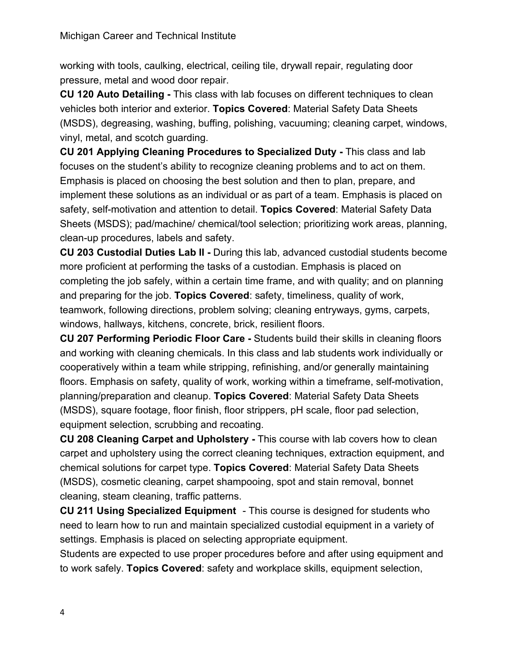working with tools, caulking, electrical, ceiling tile, drywall repair, regulating door pressure, metal and wood door repair.

**CU 120 Auto Detailing -** This class with lab focuses on different techniques to clean vehicles both interior and exterior. **Topics Covered**: Material Safety Data Sheets (MSDS), degreasing, washing, buffing, polishing, vacuuming; cleaning carpet, windows, vinyl, metal, and scotch guarding.

**CU 201 Applying Cleaning Procedures to Specialized Duty -** This class and lab focuses on the student's ability to recognize cleaning problems and to act on them. Emphasis is placed on choosing the best solution and then to plan, prepare, and implement these solutions as an individual or as part of a team. Emphasis is placed on safety, self-motivation and attention to detail. **Topics Covered**: Material Safety Data Sheets (MSDS); pad/machine/ chemical/tool selection; prioritizing work areas, planning, clean-up procedures, labels and safety.

**CU 203 Custodial Duties Lab II -** During this lab, advanced custodial students become more proficient at performing the tasks of a custodian. Emphasis is placed on completing the job safely, within a certain time frame, and with quality; and on planning and preparing for the job. **Topics Covered**: safety, timeliness, quality of work, teamwork, following directions, problem solving; cleaning entryways, gyms, carpets, windows, hallways, kitchens, concrete, brick, resilient floors.

**CU 207 Performing Periodic Floor Care -** Students build their skills in cleaning floors and working with cleaning chemicals. In this class and lab students work individually or cooperatively within a team while stripping, refinishing, and/or generally maintaining floors. Emphasis on safety, quality of work, working within a timeframe, self-motivation, planning/preparation and cleanup. **Topics Covered**: Material Safety Data Sheets (MSDS), square footage, floor finish, floor strippers, pH scale, floor pad selection, equipment selection, scrubbing and recoating.

**CU 208 Cleaning Carpet and Upholstery -** This course with lab covers how to clean carpet and upholstery using the correct cleaning techniques, extraction equipment, and chemical solutions for carpet type. **Topics Covered**: Material Safety Data Sheets (MSDS), cosmetic cleaning, carpet shampooing, spot and stain removal, bonnet cleaning, steam cleaning, traffic patterns.

**CU 211 Using Specialized Equipment** - This course is designed for students who need to learn how to run and maintain specialized custodial equipment in a variety of settings. Emphasis is placed on selecting appropriate equipment.

Students are expected to use proper procedures before and after using equipment and to work safely. **Topics Covered**: safety and workplace skills, equipment selection,